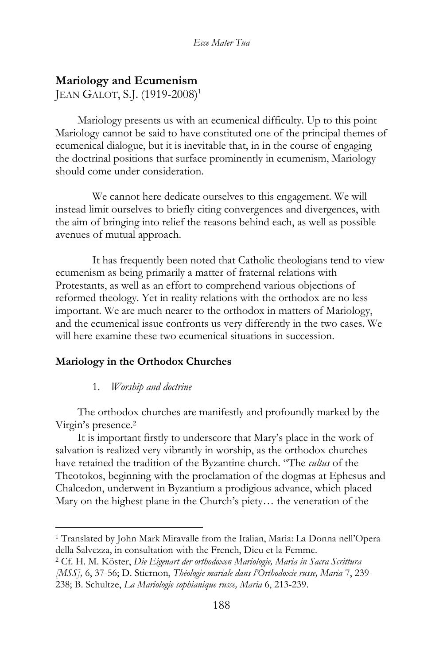# **Mariology and Ecumenism**

JEAN GALOT, S.J. (1919-2008)<sup>1</sup>

Mariology presents us with an ecumenical difficulty. Up to this point Mariology cannot be said to have constituted one of the principal themes of ecumenical dialogue, but it is inevitable that, in in the course of engaging the doctrinal positions that surface prominently in ecumenism, Mariology should come under consideration.

We cannot here dedicate ourselves to this engagement. We will instead limit ourselves to briefly citing convergences and divergences, with the aim of bringing into relief the reasons behind each, as well as possible avenues of mutual approach.

It has frequently been noted that Catholic theologians tend to view ecumenism as being primarily a matter of fraternal relations with Protestants, as well as an effort to comprehend various objections of reformed theology. Yet in reality relations with the orthodox are no less important. We are much nearer to the orthodox in matters of Mariology, and the ecumenical issue confronts us very differently in the two cases. We will here examine these two ecumenical situations in succession.

# **Mariology in the Orthodox Churches**

# 1. *Worship and doctrine*

The orthodox churches are manifestly and profoundly marked by the Virgin's presence.<sup>2</sup>

It is important firstly to underscore that Mary's place in the work of salvation is realized very vibrantly in worship, as the orthodox churches have retained the tradition of the Byzantine church. "The *cultus* of the Theotokos, beginning with the proclamation of the dogmas at Ephesus and Chalcedon, underwent in Byzantium a prodigious advance, which placed Mary on the highest plane in the Church's piety… the veneration of the

<sup>1</sup> Translated by John Mark Miravalle from the Italian, Maria: La Donna nell'Opera della Salvezza, in consultation with the French, Dieu et la Femme.

<sup>2</sup> Cf. H. M. Köster, *Die Eigenart der orthodoxen Mariologie, Maria in Sacra Scrittura* 

*<sup>[</sup>MSS],* 6, 37-56; D. Stiernon, *Théologie mariale dans l'Orthodoxie russe, Maria* 7, 239- 238; B. Schultze, *La Mariologie sophianique russe, Maria* 6, 213-239.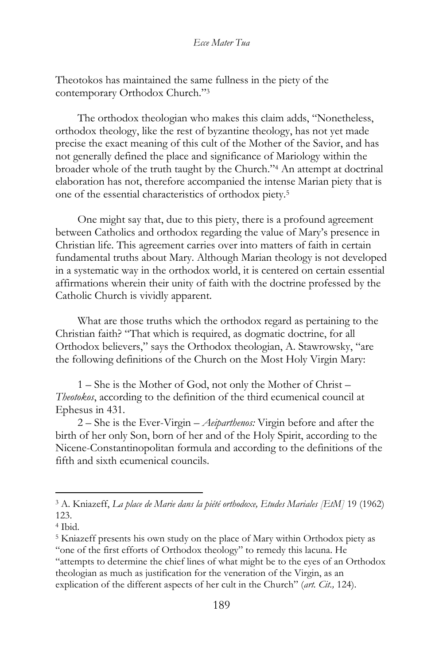Theotokos has maintained the same fullness in the piety of the contemporary Orthodox Church."<sup>3</sup>

The orthodox theologian who makes this claim adds, "Nonetheless, orthodox theology, like the rest of byzantine theology, has not yet made precise the exact meaning of this cult of the Mother of the Savior, and has not generally defined the place and significance of Mariology within the broader whole of the truth taught by the Church."<sup>4</sup> An attempt at doctrinal elaboration has not, therefore accompanied the intense Marian piety that is one of the essential characteristics of orthodox piety.<sup>5</sup>

One might say that, due to this piety, there is a profound agreement between Catholics and orthodox regarding the value of Mary's presence in Christian life. This agreement carries over into matters of faith in certain fundamental truths about Mary. Although Marian theology is not developed in a systematic way in the orthodox world, it is centered on certain essential affirmations wherein their unity of faith with the doctrine professed by the Catholic Church is vividly apparent.

What are those truths which the orthodox regard as pertaining to the Christian faith? "That which is required, as dogmatic doctrine, for all Orthodox believers," says the Orthodox theologian, A. Stawrowsky, "are the following definitions of the Church on the Most Holy Virgin Mary:

1 – She is the Mother of God, not only the Mother of Christ – *Theotokos*, according to the definition of the third ecumenical council at Ephesus in 431.

2 – She is the Ever-Virgin – *Aeiparthenos:* Virgin before and after the birth of her only Son, born of her and of the Holy Spirit, according to the Nicene-Constantinopolitan formula and according to the definitions of the fifth and sixth ecumenical councils.

<sup>3</sup> A. Kniazeff, *La place de Marie dans la piété orthodoxe, Etudes Mariales [EtM]* 19 (1962) 123.

<sup>4</sup> Ibid.

<sup>5</sup> Kniazeff presents his own study on the place of Mary within Orthodox piety as "one of the first efforts of Orthodox theology" to remedy this lacuna. He "attempts to determine the chief lines of what might be to the eyes of an Orthodox theologian as much as justification for the veneration of the Virgin, as an explication of the different aspects of her cult in the Church" (*art. Cit.,* 124).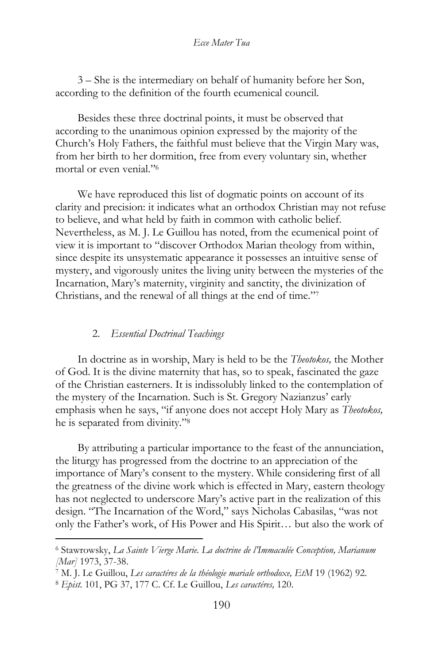3 – She is the intermediary on behalf of humanity before her Son, according to the definition of the fourth ecumenical council.

Besides these three doctrinal points, it must be observed that according to the unanimous opinion expressed by the majority of the Church's Holy Fathers, the faithful must believe that the Virgin Mary was, from her birth to her dormition, free from every voluntary sin, whether mortal or even venial."<sup>6</sup>

We have reproduced this list of dogmatic points on account of its clarity and precision: it indicates what an orthodox Christian may not refuse to believe, and what held by faith in common with catholic belief. Nevertheless, as M. J. Le Guillou has noted, from the ecumenical point of view it is important to "discover Orthodox Marian theology from within, since despite its unsystematic appearance it possesses an intuitive sense of mystery, and vigorously unites the living unity between the mysteries of the Incarnation, Mary's maternity, virginity and sanctity, the divinization of Christians, and the renewal of all things at the end of time."<sup>7</sup>

### 2. *Essential Doctrinal Teachings*

In doctrine as in worship, Mary is held to be the *Theotokos,* the Mother of God. It is the divine maternity that has, so to speak, fascinated the gaze of the Christian easterners. It is indissolubly linked to the contemplation of the mystery of the Incarnation. Such is St. Gregory Nazianzus' early emphasis when he says, "if anyone does not accept Holy Mary as *Theotokos,*  he is separated from divinity."<sup>8</sup>

By attributing a particular importance to the feast of the annunciation, the liturgy has progressed from the doctrine to an appreciation of the importance of Mary's consent to the mystery. While considering first of all the greatness of the divine work which is effected in Mary, eastern theology has not neglected to underscore Mary's active part in the realization of this design. "The Incarnation of the Word," says Nicholas Cabasilas, "was not only the Father's work, of His Power and His Spirit… but also the work of

<sup>6</sup> Stawrowsky, *La Sainte Vierge Marie. La doctrine de l'Immaculée Conception, Marianum [Mar]* 1973, 37-38.

<sup>7</sup> M. J. Le Guillou, *Les caractéres de la théologie mariale orthodoxe, EtM* 19 (1962) 92.

<sup>8</sup> *Epist.* 101, PG 37, 177 C. Cf. Le Guillou, *Les caractéres,* 120.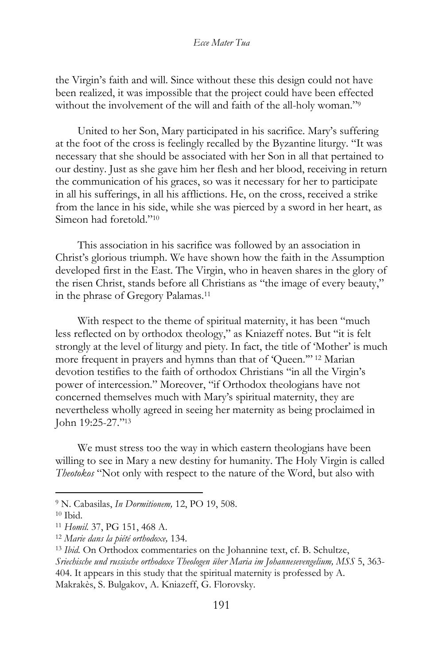the Virgin's faith and will. Since without these this design could not have been realized, it was impossible that the project could have been effected without the involvement of the will and faith of the all-holy woman."<sup>9</sup>

United to her Son, Mary participated in his sacrifice. Mary's suffering at the foot of the cross is feelingly recalled by the Byzantine liturgy. "It was necessary that she should be associated with her Son in all that pertained to our destiny. Just as she gave him her flesh and her blood, receiving in return the communication of his graces, so was it necessary for her to participate in all his sufferings, in all his afflictions. He, on the cross, received a strike from the lance in his side, while she was pierced by a sword in her heart, as Simeon had foretold."<sup>10</sup>

This association in his sacrifice was followed by an association in Christ's glorious triumph. We have shown how the faith in the Assumption developed first in the East. The Virgin, who in heaven shares in the glory of the risen Christ, stands before all Christians as "the image of every beauty," in the phrase of Gregory Palamas.<sup>11</sup>

With respect to the theme of spiritual maternity, it has been "much less reflected on by orthodox theology," as Kniazeff notes. But "it is felt strongly at the level of liturgy and piety. In fact, the title of 'Mother' is much more frequent in prayers and hymns than that of 'Queen.'" <sup>12</sup> Marian devotion testifies to the faith of orthodox Christians "in all the Virgin's power of intercession." Moreover, "if Orthodox theologians have not concerned themselves much with Mary's spiritual maternity, they are nevertheless wholly agreed in seeing her maternity as being proclaimed in John 19:25-27."<sup>13</sup>

We must stress too the way in which eastern theologians have been willing to see in Mary a new destiny for humanity. The Holy Virgin is called *Theotokos* "Not only with respect to the nature of the Word, but also with

<sup>9</sup> N. Cabasilas, *In Dormitionem,* 12, PO 19, 508.

<sup>10</sup> Ibid.

<sup>11</sup> *Homil.* 37, PG 151, 468 A.

<sup>12</sup> *Marie dans la piété orthodoxe,* 134.

<sup>13</sup> *Ibid.* On Orthodox commentaries on the Johannine text, cf. B. Schultze, *Sriechische und russische orthodoxe Theologen über Maria im Johannesevengelium, MSS* 5, 363- 404. It appears in this study that the spiritual maternity is professed by A. Makrakès, S. Bulgakov, A. Kniazeff, G. Florovsky.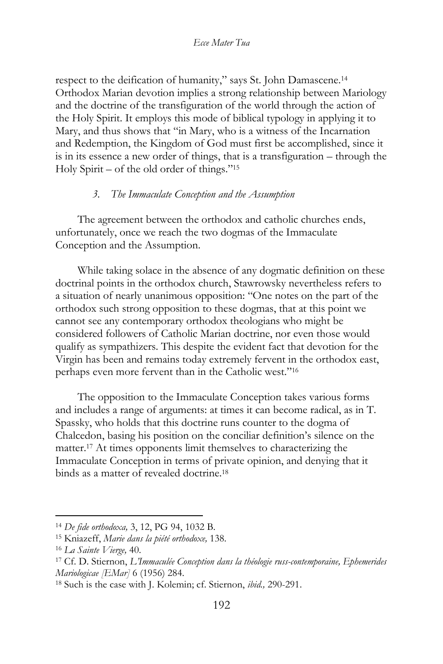respect to the deification of humanity," says St. John Damascene.<sup>14</sup> Orthodox Marian devotion implies a strong relationship between Mariology and the doctrine of the transfiguration of the world through the action of the Holy Spirit. It employs this mode of biblical typology in applying it to Mary, and thus shows that "in Mary, who is a witness of the Incarnation and Redemption, the Kingdom of God must first be accomplished, since it is in its essence a new order of things, that is a transfiguration – through the Holy Spirit – of the old order of things."<sup>15</sup>

# *3. The Immaculate Conception and the Assumption*

The agreement between the orthodox and catholic churches ends, unfortunately, once we reach the two dogmas of the Immaculate Conception and the Assumption.

While taking solace in the absence of any dogmatic definition on these doctrinal points in the orthodox church, Stawrowsky nevertheless refers to a situation of nearly unanimous opposition: "One notes on the part of the orthodox such strong opposition to these dogmas, that at this point we cannot see any contemporary orthodox theologians who might be considered followers of Catholic Marian doctrine, nor even those would qualify as sympathizers. This despite the evident fact that devotion for the Virgin has been and remains today extremely fervent in the orthodox east, perhaps even more fervent than in the Catholic west."<sup>16</sup>

The opposition to the Immaculate Conception takes various forms and includes a range of arguments: at times it can become radical, as in T. Spassky, who holds that this doctrine runs counter to the dogma of Chalcedon, basing his position on the conciliar definition's silence on the matter.<sup>17</sup> At times opponents limit themselves to characterizing the Immaculate Conception in terms of private opinion, and denying that it binds as a matter of revealed doctrine.<sup>18</sup>

<sup>14</sup> *De fide orthodoxa,* 3, 12, PG 94, 1032 B.

<sup>15</sup> Kniazeff, *Marie dans la piété orthodoxe,* 138.

<sup>16</sup> *La Sainte Vierge,* 40.

<sup>17</sup> Cf. D. Stiernon, *L'Immaculée Conception dans la théologie russ-contemporaine, Ephemerides Mariologicae [EMar]* 6 (1956) 284.

<sup>18</sup> Such is the case with J. Kolemin; cf. Stiernon, *ibid.,* 290-291.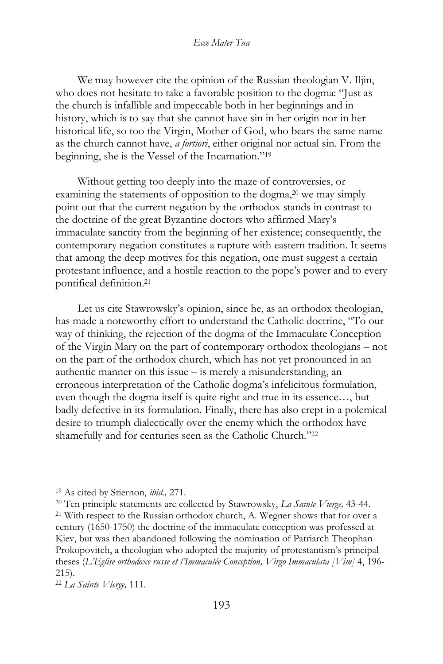We may however cite the opinion of the Russian theologian V. Iljin, who does not hesitate to take a favorable position to the dogma: "Just as the church is infallible and impeccable both in her beginnings and in history, which is to say that she cannot have sin in her origin nor in her historical life, so too the Virgin, Mother of God, who bears the same name as the church cannot have, *a fortiori*, either original nor actual sin. From the beginning, she is the Vessel of the Incarnation."<sup>19</sup> 

Without getting too deeply into the maze of controversies, or examining the statements of opposition to the dogma,<sup>20</sup> we may simply point out that the current negation by the orthodox stands in contrast to the doctrine of the great Byzantine doctors who affirmed Mary's immaculate sanctity from the beginning of her existence; consequently, the contemporary negation constitutes a rupture with eastern tradition. It seems that among the deep motives for this negation, one must suggest a certain protestant influence, and a hostile reaction to the pope's power and to every pontifical definition.<sup>21</sup>

Let us cite Stawrowsky's opinion, since he, as an orthodox theologian, has made a noteworthy effort to understand the Catholic doctrine, "To our way of thinking, the rejection of the dogma of the Immaculate Conception of the Virgin Mary on the part of contemporary orthodox theologians – not on the part of the orthodox church, which has not yet pronounced in an authentic manner on this issue – is merely a misunderstanding, an erroneous interpretation of the Catholic dogma's infelicitous formulation, even though the dogma itself is quite right and true in its essence…, but badly defective in its formulation. Finally, there has also crept in a polemical desire to triumph dialectically over the enemy which the orthodox have shamefully and for centuries seen as the Catholic Church."<sup>22</sup>

<sup>19</sup> As cited by Stiernon, *ibid.,* 271.

<sup>20</sup> Ten principle statements are collected by Stawrowsky, *La Sainte Vierge,* 43-44. <sup>21</sup> With respect to the Russian orthodox church, A. Wegner shows that for over a century (1650-1750) the doctrine of the immaculate conception was professed at Kiev, but was then abandoned following the nomination of Patriarch Theophan Prokopovitch, a theologian who adopted the majority of protestantism's principal theses (*L'Eglise orthodoxe russe et l'Immaculée Conception, Virgo Immaculata [Vim]* 4, 196- 215).

<sup>22</sup> *La Sainte Vierge,* 111.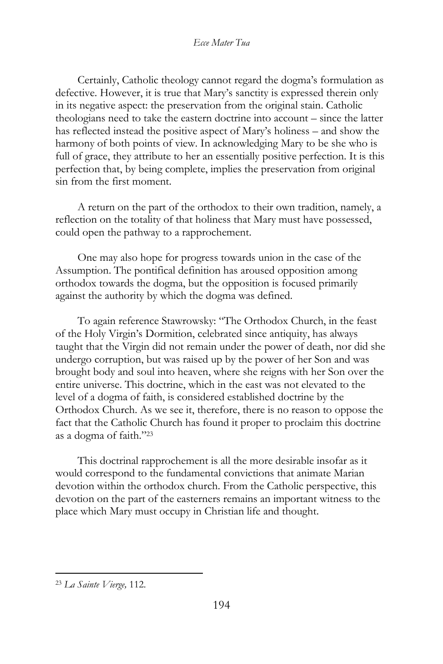Certainly, Catholic theology cannot regard the dogma's formulation as defective. However, it is true that Mary's sanctity is expressed therein only in its negative aspect: the preservation from the original stain. Catholic theologians need to take the eastern doctrine into account – since the latter has reflected instead the positive aspect of Mary's holiness – and show the harmony of both points of view. In acknowledging Mary to be she who is full of grace, they attribute to her an essentially positive perfection. It is this perfection that, by being complete, implies the preservation from original sin from the first moment.

A return on the part of the orthodox to their own tradition, namely, a reflection on the totality of that holiness that Mary must have possessed, could open the pathway to a rapprochement.

One may also hope for progress towards union in the case of the Assumption. The pontifical definition has aroused opposition among orthodox towards the dogma, but the opposition is focused primarily against the authority by which the dogma was defined.

To again reference Stawrowsky: "The Orthodox Church, in the feast of the Holy Virgin's Dormition, celebrated since antiquity, has always taught that the Virgin did not remain under the power of death, nor did she undergo corruption, but was raised up by the power of her Son and was brought body and soul into heaven, where she reigns with her Son over the entire universe. This doctrine, which in the east was not elevated to the level of a dogma of faith, is considered established doctrine by the Orthodox Church. As we see it, therefore, there is no reason to oppose the fact that the Catholic Church has found it proper to proclaim this doctrine as a dogma of faith."<sup>23</sup>

This doctrinal rapprochement is all the more desirable insofar as it would correspond to the fundamental convictions that animate Marian devotion within the orthodox church. From the Catholic perspective, this devotion on the part of the easterners remains an important witness to the place which Mary must occupy in Christian life and thought.

<sup>23</sup> *La Sainte Vierge,* 112.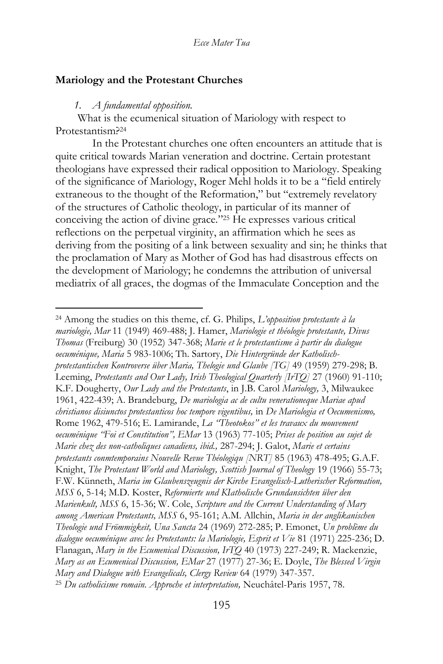# **Mariology and the Protestant Churches**

#### *1. A fundamental opposition.*

What is the ecumenical situation of Mariology with respect to Protestantism?<sup>24</sup>

In the Protestant churches one often encounters an attitude that is quite critical towards Marian veneration and doctrine. Certain protestant theologians have expressed their radical opposition to Mariology. Speaking of the significance of Mariology, Roger Mehl holds it to be a "field entirely extraneous to the thought of the Reformation," but "extremely revelatory of the structures of Catholic theology, in particular of its manner of conceiving the action of divine grace."<sup>25</sup> He expresses various critical reflections on the perpetual virginity, an affirmation which he sees as deriving from the positing of a link between sexuality and sin; he thinks that the proclamation of Mary as Mother of God has had disastrous effects on the development of Mariology; he condemns the attribution of universal mediatrix of all graces, the dogmas of the Immaculate Conception and the

<sup>24</sup> Among the studies on this theme, cf. G. Philips, *L'opposition protestante à la mariologie, Mar* 11 (1949) 469-488; J. Hamer, *Mariologie et théologie protestante, Divus Thomas* (Freiburg) 30 (1952) 347-368; *Marie et le protestantisme à partir du dialogue oecuménique, Maria* 5 983-1006; Th. Sartory, *Die Hintergründe der Katholischprotestantischen Kontroverse über Maria, Thelogie und Glaube [TG]* 49 (1959) 279-298; B. Leeming, *Protestants and Our Lady, Irish Theological Quarterly [IrTQ]* 27 (1960) 91-110; K.F. Dougherty, *Our Lady and the Protestants*, in J.B. Carol *Mariology,* 3, Milwaukee 1961, 422-439; A. Brandeburg, *De mariologia ac de cultu venerationeque Mariae apud christianos disiunctos protestanticos hoc tempore vigentibus,* in *De Mariologia et Oecumenismo,*  Rome 1962, 479-516; E. Lamirande, *La "Theotokos" et les travaux du mouvement oecuménique "Foi et Constitution", EMar* 13 (1963) 77-105; *Prises de position au sujet de Marie chez des non-catholiques canadiens, ibid.,* 287-294; J. Galot, *Marie et certains protestants conmtemporains Nouvelle Revue Théologiqu [NRT]* 85 (1963) 478-495; G.A.F. Knight, *The Protestant World and Mariology, Scottish Journal of Theology* 19 (1966) 55-73; F.W. Künneth, *Maria im Glaubenszeugnis der Kirche Evangelisch-Lutherischer Reformation, MSS* 6, 5-14; M.D. Koster, *Reformierte und KIatholische Grundansichten über den Marienkult, MSS* 6, 15-36; W. Cole, *Scripture and the Current Understanding of Mary among American Protestants, MSS* 6, 95-161; A.M. Allchin, *Maria in der anglikanischen Theologie und Frömmigkeit, Una Sancta* 24 (1969) 272-285; P. Emonet, *Un problème du dialogue oecuménique avec les Protestants: la Mariologie, Esprit et Vie* 81 (1971) 225-236; D. Flanagan, *Mary in the Ecumenical Discussion, IrTQ* 40 (1973) 227-249; R. Mackenzie, *Mary as an Ecumenical Discussion, EMar* 27 (1977) 27-36; E. Doyle, *The Blessed Virgin Mary and Dialogue with Evangelicals, Clergy Review* 64 (1979) 347-357. <sup>25</sup> *Du catholicisme romain. Approche et interpretation,* Neuchâtel-Paris 1957, 78.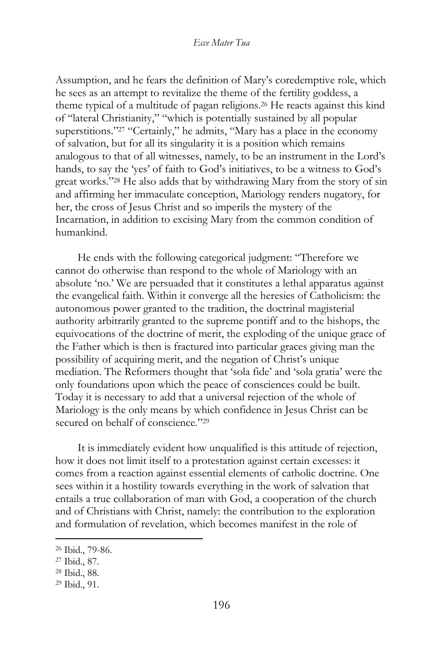Assumption, and he fears the definition of Mary's coredemptive role, which he sees as an attempt to revitalize the theme of the fertility goddess, a theme typical of a multitude of pagan religions.<sup>26</sup> He reacts against this kind of "lateral Christianity," "which is potentially sustained by all popular superstitions."<sup>27</sup> "Certainly," he admits, "Mary has a place in the economy of salvation, but for all its singularity it is a position which remains analogous to that of all witnesses, namely, to be an instrument in the Lord's hands, to say the 'yes' of faith to God's initiatives, to be a witness to God's great works."<sup>28</sup> He also adds that by withdrawing Mary from the story of sin and affirming her immaculate conception, Mariology renders nugatory, for her, the cross of Jesus Christ and so imperils the mystery of the Incarnation, in addition to excising Mary from the common condition of humankind.

He ends with the following categorical judgment: "Therefore we cannot do otherwise than respond to the whole of Mariology with an absolute 'no.' We are persuaded that it constitutes a lethal apparatus against the evangelical faith. Within it converge all the heresies of Catholicism: the autonomous power granted to the tradition, the doctrinal magisterial authority arbitrarily granted to the supreme pontiff and to the bishops, the equivocations of the doctrine of merit, the exploding of the unique grace of the Father which is then is fractured into particular graces giving man the possibility of acquiring merit, and the negation of Christ's unique mediation. The Reformers thought that 'sola fide' and 'sola gratia' were the only foundations upon which the peace of consciences could be built. Today it is necessary to add that a universal rejection of the whole of Mariology is the only means by which confidence in Jesus Christ can be secured on behalf of conscience."<sup>29</sup>

It is immediately evident how unqualified is this attitude of rejection, how it does not limit itself to a protestation against certain excesses: it comes from a reaction against essential elements of catholic doctrine. One sees within it a hostility towards everything in the work of salvation that entails a true collaboration of man with God, a cooperation of the church and of Christians with Christ, namely: the contribution to the exploration and formulation of revelation, which becomes manifest in the role of

<sup>26</sup> Ibid., 79-86.

<sup>27</sup> Ibid., 87.

<sup>28</sup> Ibid., 88.

<sup>29</sup> Ibid., 91.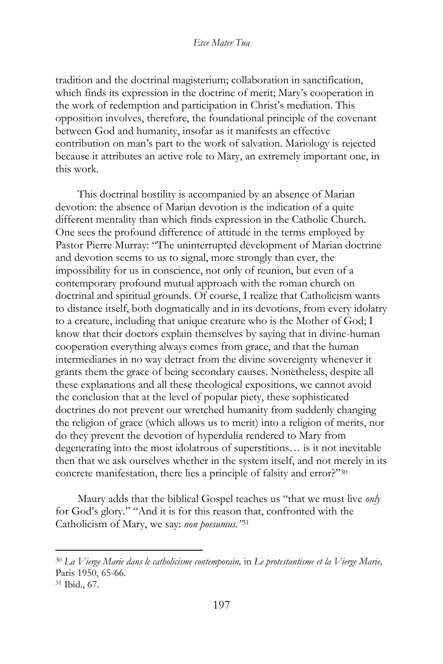tradition and the doctrinal magisterium; collaboration in sanctification, which finds its expression in the doctrine of merit; Mary's cooperation in the work of redemption and participation in Christ's mediation. This opposition involves, therefore, the foundational principle of the covenant between God and humanity, insofar as it manifests an effective contribution on man's part to the work of salvation. Mariology is rejected because it attributes an active role to Mary, an extremely important one, in this work.

This doctrinal hostility is accompanied by an absence of Marian devotion: the absence of Marian devotion is the indication of a quite different mentality than which finds expression in the Catholic Church. One sees the profound difference of attitude in the terms employed by Pastor Pierre Murray: "The uninterrupted development of Marian doctrine and devotion seems to us to signal, more strongly than ever, the impossibility for us in conscience, not only of reunion, but even of a contemporary profound mutual approach with the roman church on doctrinal and spiritual grounds. Of course, I realize that Catholicism wants to distance itself, both dogmatically and in its devotions, from every idolatry to a creature, including that unique creature who is the Mother of God; I know that their doctors explain themselves by saying that in divine-human cooperation everything always comes from grace, and that the human intermediaries in no way detract from the divine sovereignty whenever it grants them the grace of being secondary causes. Nonetheless, despite all these explanations and all these theological expositions, we cannot avoid the conclusion that at the level of popular piety, these sophisticated doctrines do not prevent our wretched humanity from suddenly changing the religion of grace (which allows us to merit) into a religion of merits, nor do they prevent the devotion of hyperdulia rendered to Mary from degenerating into the most idolatrous of superstitions… is it not inevitable then that we ask ourselves whether in the system itself, and not merely in its concrete manifestation, there lies a principle of falsity and error?"<sup>30</sup>

Maury adds that the biblical Gospel teaches us "that we must live *only*  for God's glory." "And it is for this reason that, confronted with the Catholicism of Mary, we say: *non possumus."*<sup>31</sup>

<sup>30</sup> *La Vierge Marie dans le catholicisme contemporain,* in *Le protestantisme et la Vierge Marie,*  Paris 1950, 65-66.

<sup>31</sup> Ibid., 67.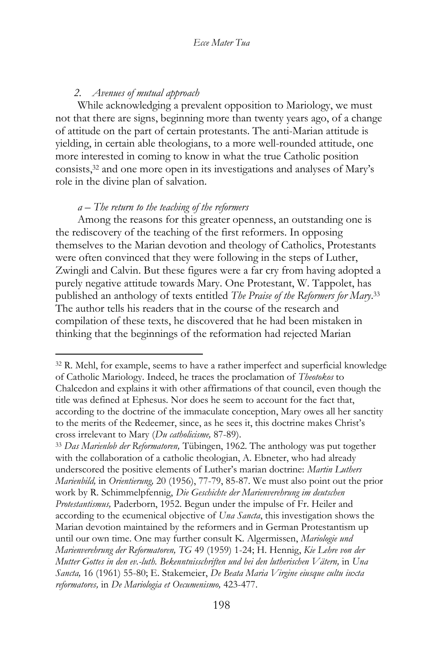# *2. Avenues of mutual approach*

While acknowledging a prevalent opposition to Mariology, we must not that there are signs, beginning more than twenty years ago, of a change of attitude on the part of certain protestants. The anti-Marian attitude is yielding, in certain able theologians, to a more well-rounded attitude, one more interested in coming to know in what the true Catholic position consists,<sup>32</sup> and one more open in its investigations and analyses of Mary's role in the divine plan of salvation.

# *a – The return to the teaching of the reformers*

Among the reasons for this greater openness, an outstanding one is the rediscovery of the teaching of the first reformers. In opposing themselves to the Marian devotion and theology of Catholics, Protestants were often convinced that they were following in the steps of Luther, Zwingli and Calvin. But these figures were a far cry from having adopted a purely negative attitude towards Mary. One Protestant, W. Tappolet, has published an anthology of texts entitled *The Praise of the Reformers for Mary*. 33 The author tells his readers that in the course of the research and compilation of these texts, he discovered that he had been mistaken in thinking that the beginnings of the reformation had rejected Marian

<sup>33</sup> *Das Marienlob der Reformatoren,* Tübingen, 1962. The anthology was put together with the collaboration of a catholic theologian, A. Ebneter, who had already underscored the positive elements of Luther's marian doctrine: *Martin Luthers Marienbild,* in *Orientierung,* 20 (1956), 77-79, 85-87. We must also point out the prior work by R. Schimmelpfennig, *Die Geschichte der Marienverehrung im deutschen Protestantismus,* Paderborn, 1952. Begun under the impulse of Fr. Heiler and according to the ecumenical objective of *Una Sancta*, this investigation shows the Marian devotion maintained by the reformers and in German Protestantism up until our own time. One may further consult K. Algermissen, *Mariologie und Marienverehrung der Reformatoren, TG* 49 (1959) 1-24; H. Hennig, *Kie Lehre von der Mutter Gottes in den ev.-luth. Bekenntnisschriften und bei den lutherischen Vätern,* in *Una Sancta,* 16 (1961) 55-80; E. Stakemeier, *De Beata Maria Virgine eiusque cultu iuxta reformatores,* in *De Mariologia et Oecumenismo,* 423-477.

<sup>32</sup> R. Mehl, for example, seems to have a rather imperfect and superficial knowledge of Catholic Mariology. Indeed, he traces the proclamation of *Theotokos* to Chalcedon and explains it with other affirmations of that council, even though the title was defined at Ephesus. Nor does he seem to account for the fact that, according to the doctrine of the immaculate conception, Mary owes all her sanctity to the merits of the Redeemer, since, as he sees it, this doctrine makes Christ's cross irrelevant to Mary (*Du catholicisme,* 87-89).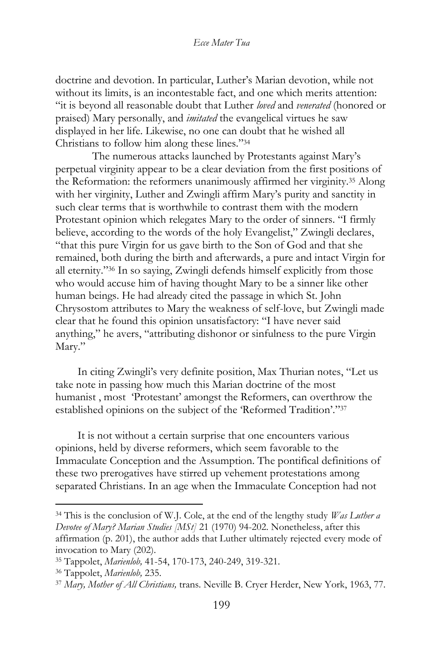doctrine and devotion. In particular, Luther's Marian devotion, while not without its limits, is an incontestable fact, and one which merits attention: "it is beyond all reasonable doubt that Luther *loved* and *venerated* (honored or praised) Mary personally, and *imitated* the evangelical virtues he saw displayed in her life. Likewise, no one can doubt that he wished all Christians to follow him along these lines."<sup>34</sup>

The numerous attacks launched by Protestants against Mary's perpetual virginity appear to be a clear deviation from the first positions of the Reformation: the reformers unanimously affirmed her virginity.<sup>35</sup> Along with her virginity, Luther and Zwingli affirm Mary's purity and sanctity in such clear terms that is worthwhile to contrast them with the modern Protestant opinion which relegates Mary to the order of sinners. "I firmly believe, according to the words of the holy Evangelist," Zwingli declares, "that this pure Virgin for us gave birth to the Son of God and that she remained, both during the birth and afterwards, a pure and intact Virgin for all eternity."<sup>36</sup> In so saying, Zwingli defends himself explicitly from those who would accuse him of having thought Mary to be a sinner like other human beings. He had already cited the passage in which St. John Chrysostom attributes to Mary the weakness of self-love, but Zwingli made clear that he found this opinion unsatisfactory: "I have never said anything," he avers, "attributing dishonor or sinfulness to the pure Virgin Mary."

In citing Zwingli's very definite position, Max Thurian notes, "Let us take note in passing how much this Marian doctrine of the most humanist , most 'Protestant' amongst the Reformers, can overthrow the established opinions on the subject of the 'Reformed Tradition'."<sup>37</sup>

It is not without a certain surprise that one encounters various opinions, held by diverse reformers, which seem favorable to the Immaculate Conception and the Assumption. The pontifical definitions of these two prerogatives have stirred up vehement protestations among separated Christians. In an age when the Immaculate Conception had not

<sup>34</sup> This is the conclusion of W.J. Cole, at the end of the lengthy study *Was Luther a Devotee of Mary? Marian Studies [MSt]* 21 (1970) 94-202. Nonetheless, after this affirmation (p. 201), the author adds that Luther ultimately rejected every mode of invocation to Mary (202).

<sup>35</sup> Tappolet, *Marienlob,* 41-54, 170-173, 240-249, 319-321.

<sup>36</sup> Tappolet, *Marienlob,* 235.

<sup>37</sup> *Mary, Mother of All Christians,* trans. Neville B. Cryer Herder, New York, 1963, 77.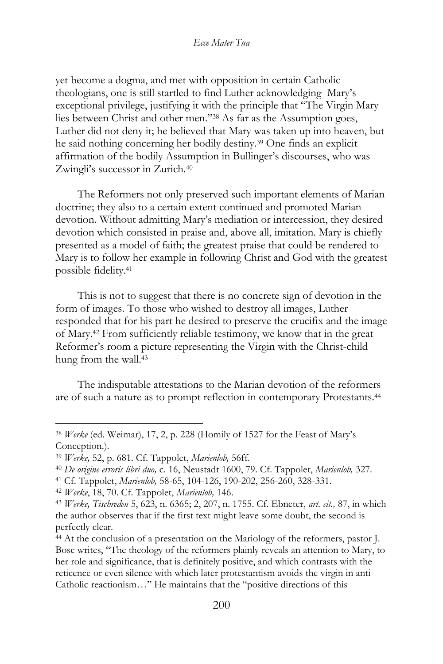yet become a dogma, and met with opposition in certain Catholic theologians, one is still startled to find Luther acknowledging Mary's exceptional privilege, justifying it with the principle that "The Virgin Mary lies between Christ and other men."<sup>38</sup> As far as the Assumption goes, Luther did not deny it; he believed that Mary was taken up into heaven, but he said nothing concerning her bodily destiny.<sup>39</sup> One finds an explicit affirmation of the bodily Assumption in Bullinger's discourses, who was Zwingli's successor in Zurich.<sup>40</sup>

The Reformers not only preserved such important elements of Marian doctrine; they also to a certain extent continued and promoted Marian devotion. Without admitting Mary's mediation or intercession, they desired devotion which consisted in praise and, above all, imitation. Mary is chiefly presented as a model of faith; the greatest praise that could be rendered to Mary is to follow her example in following Christ and God with the greatest possible fidelity.<sup>41</sup>

This is not to suggest that there is no concrete sign of devotion in the form of images. To those who wished to destroy all images, Luther responded that for his part he desired to preserve the crucifix and the image of Mary.<sup>42</sup> From sufficiently reliable testimony, we know that in the great Reformer's room a picture representing the Virgin with the Christ-child hung from the wall.<sup>43</sup>

The indisputable attestations to the Marian devotion of the reformers are of such a nature as to prompt reflection in contemporary Protestants.<sup>44</sup>

<sup>38</sup> *Werke* (ed. Weimar), 17, 2, p. 228 (Homily of 1527 for the Feast of Mary's Conception.).

<sup>39</sup> *Werke,* 52, p. 681. Cf. Tappolet, *Marienlob,* 56ff.

<sup>40</sup> *De origine erroris libri duo,* c. 16, Neustadt 1600, 79. Cf. Tappolet, *Marienlob,* 327.

<sup>41</sup> Cf. Tappolet, *Marienlob,* 58-65, 104-126, 190-202, 256-260, 328-331.

<sup>42</sup> *Werke*, 18, 70. Cf. Tappolet, *Marienlob,* 146.

<sup>43</sup> *Werke, Tischreden* 5, 623, n. 6365; 2, 207, n. 1755. Cf. Ebneter, *art. cit.,* 87, in which the author observes that if the first text might leave some doubt, the second is perfectly clear.

<sup>44</sup> At the conclusion of a presentation on the Mariology of the reformers, pastor J. Bosc writes, "The theology of the reformers plainly reveals an attention to Mary, to her role and significance, that is definitely positive, and which contrasts with the reticence or even silence with which later protestantism avoids the virgin in anti-Catholic reactionism…" He maintains that the "positive directions of this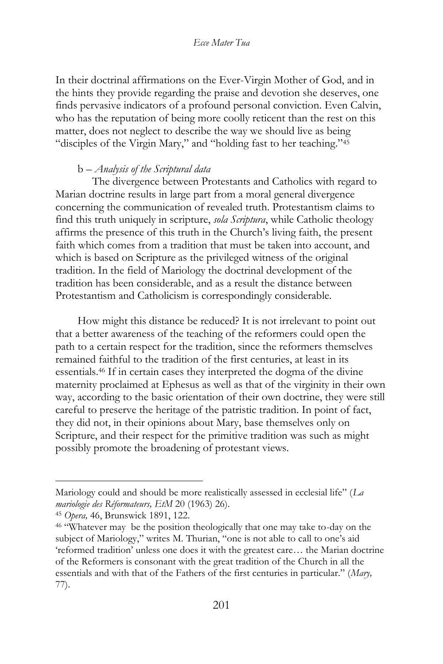In their doctrinal affirmations on the Ever-Virgin Mother of God, and in the hints they provide regarding the praise and devotion she deserves, one finds pervasive indicators of a profound personal conviction. Even Calvin, who has the reputation of being more coolly reticent than the rest on this matter, does not neglect to describe the way we should live as being "disciples of the Virgin Mary," and "holding fast to her teaching."<sup>45</sup>

### b – *Analysis of the Scriptural data*

The divergence between Protestants and Catholics with regard to Marian doctrine results in large part from a moral general divergence concerning the communication of revealed truth. Protestantism claims to find this truth uniquely in scripture, *sola Scriptura*, while Catholic theology affirms the presence of this truth in the Church's living faith, the present faith which comes from a tradition that must be taken into account, and which is based on Scripture as the privileged witness of the original tradition. In the field of Mariology the doctrinal development of the tradition has been considerable, and as a result the distance between Protestantism and Catholicism is correspondingly considerable.

How might this distance be reduced? It is not irrelevant to point out that a better awareness of the teaching of the reformers could open the path to a certain respect for the tradition, since the reformers themselves remained faithful to the tradition of the first centuries, at least in its essentials.<sup>46</sup> If in certain cases they interpreted the dogma of the divine maternity proclaimed at Ephesus as well as that of the virginity in their own way, according to the basic orientation of their own doctrine, they were still careful to preserve the heritage of the patristic tradition. In point of fact, they did not, in their opinions about Mary, base themselves only on Scripture, and their respect for the primitive tradition was such as might possibly promote the broadening of protestant views.

Mariology could and should be more realistically assessed in ecclesial life" (*La mariologie des Réformateurs, EtM* 20 (1963) 26).

<sup>45</sup> *Opera,* 46, Brunswick 1891, 122.

<sup>46</sup> "Whatever may be the position theologically that one may take to-day on the subject of Mariology," writes M. Thurian, "one is not able to call to one's aid 'reformed tradition' unless one does it with the greatest care… the Marian doctrine of the Reformers is consonant with the great tradition of the Church in all the essentials and with that of the Fathers of the first centuries in particular." (*Mary,*  77).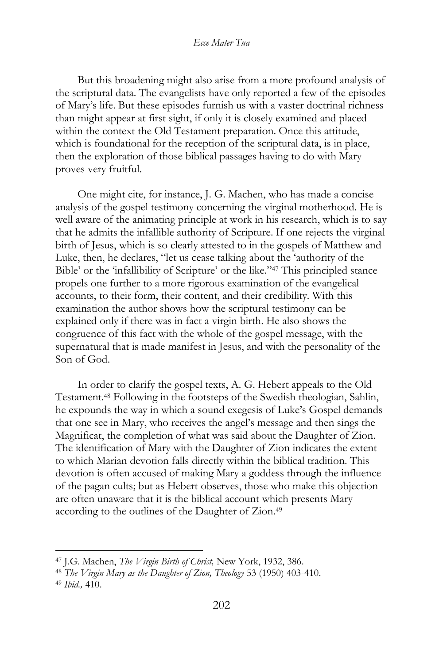But this broadening might also arise from a more profound analysis of the scriptural data. The evangelists have only reported a few of the episodes of Mary's life. But these episodes furnish us with a vaster doctrinal richness than might appear at first sight, if only it is closely examined and placed within the context the Old Testament preparation. Once this attitude, which is foundational for the reception of the scriptural data, is in place, then the exploration of those biblical passages having to do with Mary proves very fruitful.

One might cite, for instance, J. G. Machen, who has made a concise analysis of the gospel testimony concerning the virginal motherhood. He is well aware of the animating principle at work in his research, which is to say that he admits the infallible authority of Scripture. If one rejects the virginal birth of Jesus, which is so clearly attested to in the gospels of Matthew and Luke, then, he declares, "let us cease talking about the 'authority of the Bible' or the 'infallibility of Scripture' or the like."<sup>47</sup> This principled stance propels one further to a more rigorous examination of the evangelical accounts, to their form, their content, and their credibility. With this examination the author shows how the scriptural testimony can be explained only if there was in fact a virgin birth. He also shows the congruence of this fact with the whole of the gospel message, with the supernatural that is made manifest in Jesus, and with the personality of the Son of God.

In order to clarify the gospel texts, A. G. Hebert appeals to the Old Testament.<sup>48</sup> Following in the footsteps of the Swedish theologian, Sahlin, he expounds the way in which a sound exegesis of Luke's Gospel demands that one see in Mary, who receives the angel's message and then sings the Magnificat, the completion of what was said about the Daughter of Zion. The identification of Mary with the Daughter of Zion indicates the extent to which Marian devotion falls directly within the biblical tradition. This devotion is often accused of making Mary a goddess through the influence of the pagan cults; but as Hebert observes, those who make this objection are often unaware that it is the biblical account which presents Mary according to the outlines of the Daughter of Zion.<sup>49</sup>

<sup>47</sup> J.G. Machen, *The Virgin Birth of Christ,* New York, 1932, 386.

<sup>48</sup> *The Virgin Mary as the Daughter of Zion, Theology* 53 (1950) 403-410. <sup>49</sup> *Ibid.,* 410.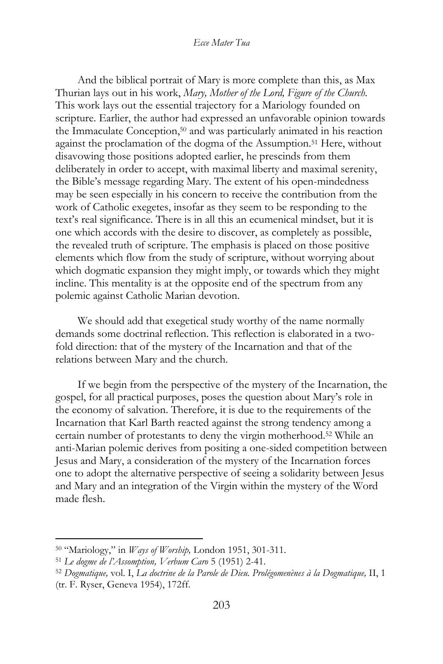And the biblical portrait of Mary is more complete than this, as Max Thurian lays out in his work, *Mary, Mother of the Lord, Figure of the Church.*  This work lays out the essential trajectory for a Mariology founded on scripture. Earlier, the author had expressed an unfavorable opinion towards the Immaculate Conception,<sup>50</sup> and was particularly animated in his reaction against the proclamation of the dogma of the Assumption.<sup>51</sup> Here, without disavowing those positions adopted earlier, he prescinds from them deliberately in order to accept, with maximal liberty and maximal serenity, the Bible's message regarding Mary. The extent of his open-mindedness may be seen especially in his concern to receive the contribution from the work of Catholic exegetes, insofar as they seem to be responding to the text's real significance. There is in all this an ecumenical mindset, but it is one which accords with the desire to discover, as completely as possible, the revealed truth of scripture. The emphasis is placed on those positive elements which flow from the study of scripture, without worrying about which dogmatic expansion they might imply, or towards which they might incline. This mentality is at the opposite end of the spectrum from any polemic against Catholic Marian devotion.

We should add that exegetical study worthy of the name normally demands some doctrinal reflection. This reflection is elaborated in a twofold direction: that of the mystery of the Incarnation and that of the relations between Mary and the church.

If we begin from the perspective of the mystery of the Incarnation, the gospel, for all practical purposes, poses the question about Mary's role in the economy of salvation. Therefore, it is due to the requirements of the Incarnation that Karl Barth reacted against the strong tendency among a certain number of protestants to deny the virgin motherhood.<sup>52</sup> While an anti-Marian polemic derives from positing a one-sided competition between Jesus and Mary, a consideration of the mystery of the Incarnation forces one to adopt the alternative perspective of seeing a solidarity between Jesus and Mary and an integration of the Virgin within the mystery of the Word made flesh.

<sup>50</sup> "Mariology," in *Ways of Worship,* London 1951, 301-311.

<sup>51</sup> *Le dogme de l'Assomption, Verbum Caro* 5 (1951) 2-41.

<sup>52</sup> *Dogmatique,* vol. I, *La doctrine de la Parole de Dieu. Prolégomenènes à la Dogmatique,* II, 1 (tr. F. Ryser, Geneva 1954), 172ff.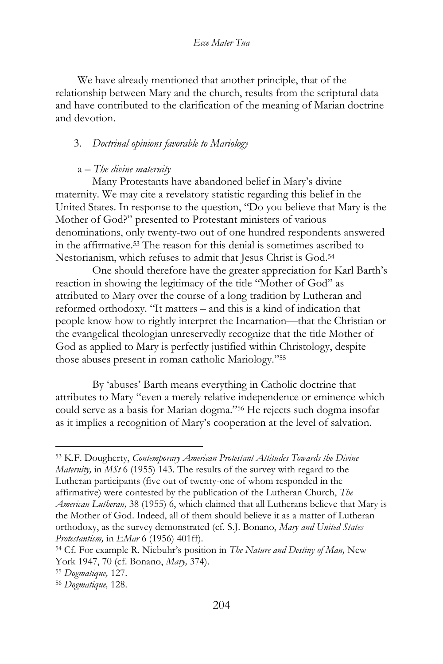We have already mentioned that another principle, that of the relationship between Mary and the church, results from the scriptural data and have contributed to the clarification of the meaning of Marian doctrine and devotion.

# 3. *Doctrinal opinions favorable to Mariology*

## a – *The divine maternity*

Many Protestants have abandoned belief in Mary's divine maternity. We may cite a revelatory statistic regarding this belief in the United States. In response to the question, "Do you believe that Mary is the Mother of God?" presented to Protestant ministers of various denominations, only twenty-two out of one hundred respondents answered in the affirmative.<sup>53</sup> The reason for this denial is sometimes ascribed to Nestorianism, which refuses to admit that Jesus Christ is God.<sup>54</sup>

One should therefore have the greater appreciation for Karl Barth's reaction in showing the legitimacy of the title "Mother of God" as attributed to Mary over the course of a long tradition by Lutheran and reformed orthodoxy. "It matters – and this is a kind of indication that people know how to rightly interpret the Incarnation—that the Christian or the evangelical theologian unreservedly recognize that the title Mother of God as applied to Mary is perfectly justified within Christology, despite those abuses present in roman catholic Mariology."<sup>55</sup>

By 'abuses' Barth means everything in Catholic doctrine that attributes to Mary "even a merely relative independence or eminence which could serve as a basis for Marian dogma."<sup>56</sup> He rejects such dogma insofar as it implies a recognition of Mary's cooperation at the level of salvation.

<sup>53</sup> K.F. Dougherty, *Contemporary American Protestant Attitudes Towards the Divine Maternity,* in *MSt* 6 (1955) 143. The results of the survey with regard to the Lutheran participants (five out of twenty-one of whom responded in the affirmative) were contested by the publication of the Lutheran Church, *The American Lutheran,* 38 (1955) 6, which claimed that all Lutherans believe that Mary is the Mother of God. Indeed, all of them should believe it as a matter of Lutheran orthodoxy, as the survey demonstrated (cf. S.J. Bonano, *Mary and United States Protestantism,* in *EMar* 6 (1956) 401ff).

<sup>54</sup> Cf. For example R. Niebuhr's position in *The Nature and Destiny of Man,* New York 1947, 70 (cf. Bonano, *Mary,* 374).

<sup>55</sup> *Dogmatique,* 127.

<sup>56</sup> *Dogmatique,* 128.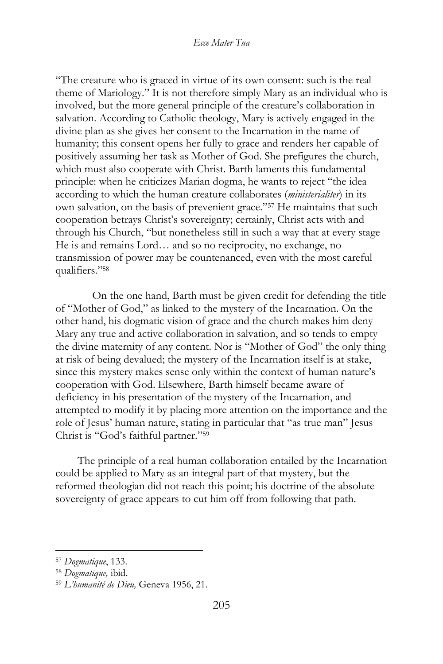"The creature who is graced in virtue of its own consent: such is the real theme of Mariology." It is not therefore simply Mary as an individual who is involved, but the more general principle of the creature's collaboration in salvation. According to Catholic theology, Mary is actively engaged in the divine plan as she gives her consent to the Incarnation in the name of humanity; this consent opens her fully to grace and renders her capable of positively assuming her task as Mother of God. She prefigures the church, which must also cooperate with Christ. Barth laments this fundamental principle: when he criticizes Marian dogma, he wants to reject "the idea according to which the human creature collaborates (*ministerialiter*) in its own salvation, on the basis of prevenient grace."<sup>57</sup> He maintains that such cooperation betrays Christ's sovereignty; certainly, Christ acts with and through his Church, "but nonetheless still in such a way that at every stage He is and remains Lord… and so no reciprocity, no exchange, no transmission of power may be countenanced, even with the most careful qualifiers."<sup>58</sup>

On the one hand, Barth must be given credit for defending the title of "Mother of God," as linked to the mystery of the Incarnation. On the other hand, his dogmatic vision of grace and the church makes him deny Mary any true and active collaboration in salvation, and so tends to empty the divine maternity of any content. Nor is "Mother of God" the only thing at risk of being devalued; the mystery of the Incarnation itself is at stake, since this mystery makes sense only within the context of human nature's cooperation with God. Elsewhere, Barth himself became aware of deficiency in his presentation of the mystery of the Incarnation, and attempted to modify it by placing more attention on the importance and the role of Jesus' human nature, stating in particular that "as true man" Jesus Christ is "God's faithful partner."<sup>59</sup>

The principle of a real human collaboration entailed by the Incarnation could be applied to Mary as an integral part of that mystery, but the reformed theologian did not reach this point; his doctrine of the absolute sovereignty of grace appears to cut him off from following that path.

<sup>57</sup> *Dogmatique*, 133.

<sup>58</sup> *Dogmatique,* ibid.

<sup>59</sup> *L'humanité de Dieu,* Geneva 1956, 21.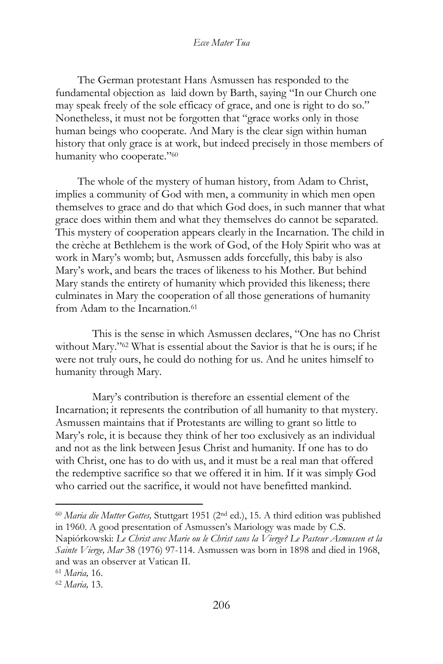The German protestant Hans Asmussen has responded to the fundamental objection as laid down by Barth, saying "In our Church one may speak freely of the sole efficacy of grace, and one is right to do so." Nonetheless, it must not be forgotten that "grace works only in those human beings who cooperate. And Mary is the clear sign within human history that only grace is at work, but indeed precisely in those members of humanity who cooperate."<sup>60</sup>

The whole of the mystery of human history, from Adam to Christ, implies a community of God with men, a community in which men open themselves to grace and do that which God does, in such manner that what grace does within them and what they themselves do cannot be separated. This mystery of cooperation appears clearly in the Incarnation. The child in the crèche at Bethlehem is the work of God, of the Holy Spirit who was at work in Mary's womb; but, Asmussen adds forcefully, this baby is also Mary's work, and bears the traces of likeness to his Mother. But behind Mary stands the entirety of humanity which provided this likeness; there culminates in Mary the cooperation of all those generations of humanity from Adam to the Incarnation.<sup>61</sup>

This is the sense in which Asmussen declares, "One has no Christ without Mary."<sup>62</sup> What is essential about the Savior is that he is ours; if he were not truly ours, he could do nothing for us. And he unites himself to humanity through Mary.

Mary's contribution is therefore an essential element of the Incarnation; it represents the contribution of all humanity to that mystery. Asmussen maintains that if Protestants are willing to grant so little to Mary's role, it is because they think of her too exclusively as an individual and not as the link between Jesus Christ and humanity. If one has to do with Christ, one has to do with us, and it must be a real man that offered the redemptive sacrifice so that we offered it in him. If it was simply God who carried out the sacrifice, it would not have benefitted mankind.

<sup>60</sup> *Maria die Mutter Gottes,* Stuttgart 1951 (2nd ed.), 15. A third edition was published in 1960. A good presentation of Asmussen's Mariology was made by C.S.

Napiórkowski: *Le Christ avec Marie ou le Christ sans la Vierge? Le Pasteur Asmussen et la Sainte Vierge, Mar* 38 (1976) 97-114. Asmussen was born in 1898 and died in 1968, and was an observer at Vatican II.

<sup>61</sup> *Maria,* 16.

<sup>62</sup> *Maria,* 13.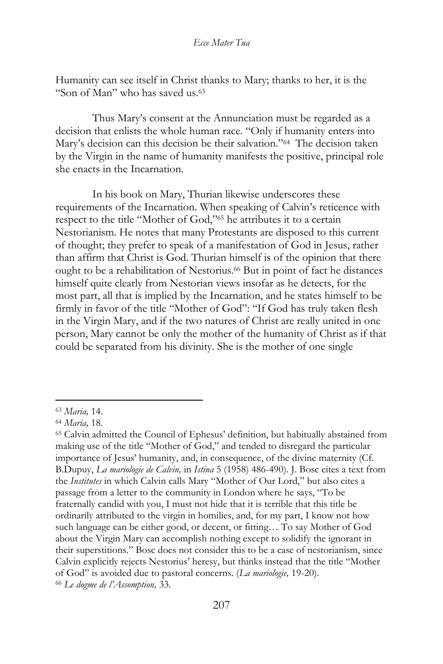Humanity can see itself in Christ thanks to Mary; thanks to her, it is the "Son of Man" who has saved us.<sup>63</sup>

Thus Mary's consent at the Annunciation must be regarded as a decision that enlists the whole human race. "Only if humanity enters into Mary's decision can this decision be their salvation."<sup>64</sup> The decision taken by the Virgin in the name of humanity manifests the positive, principal role she enacts in the Incarnation.

In his book on Mary, Thurian likewise underscores these requirements of the Incarnation. When speaking of Calvin's reticence with respect to the title "Mother of God,"<sup>65</sup> he attributes it to a certain Nestorianism. He notes that many Protestants are disposed to this current of thought; they prefer to speak of a manifestation of God in Jesus, rather than affirm that Christ is God. Thurian himself is of the opinion that there ought to be a rehabilitation of Nestorius.<sup>66</sup> But in point of fact he distances himself quite clearly from Nestorian views insofar as he detects, for the most part, all that is implied by the Incarnation, and he states himself to be firmly in favor of the title "Mother of God": "If God has truly taken flesh in the Virgin Mary, and if the two natures of Christ are really united in one person, Mary cannot be only the mother of the humanity of Christ as if that could be separated from his divinity. She is the mother of one single

<sup>63</sup> *Maria,* 14.

<sup>64</sup> *Maria,* 18.

<sup>65</sup> Calvin admitted the Council of Ephesus' definition, but habitually abstained from making use of the title "Mother of God," and tended to disregard the particular importance of Jesus' humanity, and, in consequence, of the divine maternity (Cf. B.Dupuy, *La mariologie de Calvin,* in *Istina* 5 (1958) 486-490). J. Bosc cites a text from the *Institutes* in which Calvin calls Mary "Mother of Our Lord," but also cites a passage from a letter to the community in London where he says, "To be fraternally candid with you, I must not hide that it is terrible that this title be ordinarily attributed to the virgin in homilies, and, for my part, I know not how such language can be either good, or decent, or fitting… To say Mother of God about the Virgin Mary can accomplish nothing except to solidify the ignorant in their superstitions." Bosc does not consider this to be a case of nestorianism, since Calvin explicitly rejects Nestorius' heresy, but thinks instead that the title "Mother of God" is avoided due to pastoral concerns. (*La mariologie,* 19-20). <sup>66</sup> *Le dogme de l'Assomption,* 33.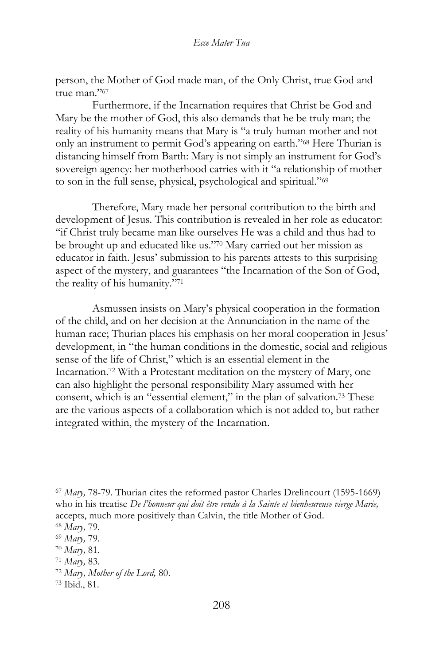person, the Mother of God made man, of the Only Christ, true God and true man."<sup>67</sup>

Furthermore, if the Incarnation requires that Christ be God and Mary be the mother of God, this also demands that he be truly man; the reality of his humanity means that Mary is "a truly human mother and not only an instrument to permit God's appearing on earth."<sup>68</sup> Here Thurian is distancing himself from Barth: Mary is not simply an instrument for God's sovereign agency: her motherhood carries with it "a relationship of mother to son in the full sense, physical, psychological and spiritual."<sup>69</sup>

Therefore, Mary made her personal contribution to the birth and development of Jesus. This contribution is revealed in her role as educator: "if Christ truly became man like ourselves He was a child and thus had to be brought up and educated like us."<sup>70</sup> Mary carried out her mission as educator in faith. Jesus' submission to his parents attests to this surprising aspect of the mystery, and guarantees "the Incarnation of the Son of God, the reality of his humanity."<sup>71</sup>

Asmussen insists on Mary's physical cooperation in the formation of the child, and on her decision at the Annunciation in the name of the human race; Thurian places his emphasis on her moral cooperation in Jesus' development, in "the human conditions in the domestic, social and religious sense of the life of Christ," which is an essential element in the Incarnation.<sup>72</sup> With a Protestant meditation on the mystery of Mary, one can also highlight the personal responsibility Mary assumed with her consent, which is an "essential element," in the plan of salvation.<sup>73</sup> These are the various aspects of a collaboration which is not added to, but rather integrated within, the mystery of the Incarnation.

<sup>67</sup> *Mary,* 78-79. Thurian cites the reformed pastor Charles Drelincourt (1595-1669) who in his treatise *De l'honneur qui doit être rendu à la Sainte et bienheureuse vierge Marie,*  accepts, much more positively than Calvin, the title Mother of God.

<sup>68</sup> *Mary,* 79.

<sup>69</sup> *Mary,* 79.

<sup>70</sup> *Mary,* 81.

<sup>71</sup> *Mary,* 83.

<sup>72</sup> *Mary, Mother of the Lord,* 80.

<sup>73</sup> Ibid., 81.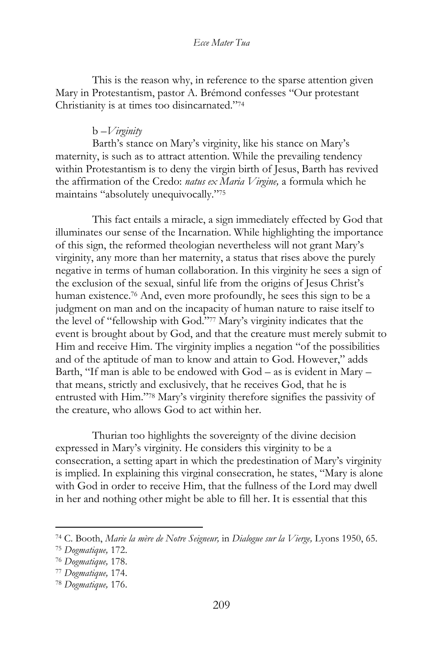This is the reason why, in reference to the sparse attention given Mary in Protestantism, pastor A. Brémond confesses "Our protestant Christianity is at times too disincarnated."<sup>74</sup>

# b –*Virginity*

Barth's stance on Mary's virginity, like his stance on Mary's maternity, is such as to attract attention. While the prevailing tendency within Protestantism is to deny the virgin birth of Jesus, Barth has revived the affirmation of the Credo: *natus ex Maria Virgine,* a formula which he maintains "absolutely unequivocally."<sup>75</sup>

This fact entails a miracle, a sign immediately effected by God that illuminates our sense of the Incarnation. While highlighting the importance of this sign, the reformed theologian nevertheless will not grant Mary's virginity, any more than her maternity, a status that rises above the purely negative in terms of human collaboration. In this virginity he sees a sign of the exclusion of the sexual, sinful life from the origins of Jesus Christ's human existence.<sup>76</sup> And, even more profoundly, he sees this sign to be a judgment on man and on the incapacity of human nature to raise itself to the level of "fellowship with God."<sup>77</sup> Mary's virginity indicates that the event is brought about by God, and that the creature must merely submit to Him and receive Him. The virginity implies a negation "of the possibilities and of the aptitude of man to know and attain to God. However," adds Barth, "If man is able to be endowed with God – as is evident in Mary – that means, strictly and exclusively, that he receives God, that he is entrusted with Him."<sup>78</sup> Mary's virginity therefore signifies the passivity of the creature, who allows God to act within her.

Thurian too highlights the sovereignty of the divine decision expressed in Mary's virginity. He considers this virginity to be a consecration, a setting apart in which the predestination of Mary's virginity is implied. In explaining this virginal consecration, he states, "Mary is alone with God in order to receive Him, that the fullness of the Lord may dwell in her and nothing other might be able to fill her. It is essential that this

<sup>74</sup> C. Booth, *Marie la mère de Notre Seigneur,* in *Dialogue sur la Vierge,* Lyons 1950, 65.

<sup>75</sup> *Dogmatique,* 172.

<sup>76</sup> *Dogmatique,* 178.

<sup>77</sup> *Dogmatique,* 174.

<sup>78</sup> *Dogmatique,* 176.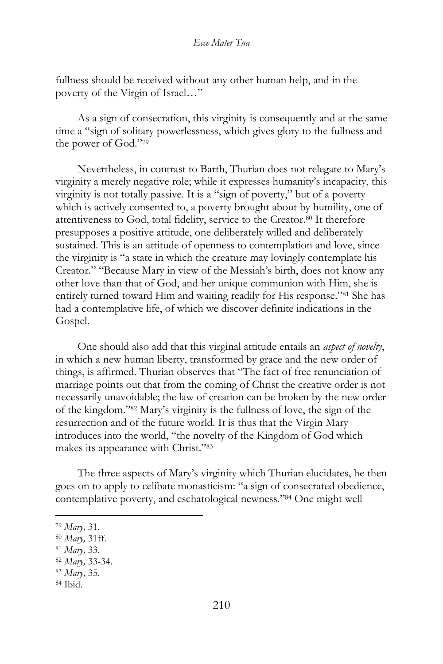fullness should be received without any other human help, and in the poverty of the Virgin of Israel…"

As a sign of consecration, this virginity is consequently and at the same time a "sign of solitary powerlessness, which gives glory to the fullness and the power of God."<sup>79</sup>

Nevertheless, in contrast to Barth, Thurian does not relegate to Mary's virginity a merely negative role; while it expresses humanity's incapacity, this virginity is not totally passive. It is a "sign of poverty," but of a poverty which is actively consented to, a poverty brought about by humility, one of attentiveness to God, total fidelity, service to the Creator.<sup>80</sup> It therefore presupposes a positive attitude, one deliberately willed and deliberately sustained. This is an attitude of openness to contemplation and love, since the virginity is "a state in which the creature may lovingly contemplate his Creator." "Because Mary in view of the Messiah's birth, does not know any other love than that of God, and her unique communion with Him, she is entirely turned toward Him and waiting readily for His response."<sup>81</sup> She has had a contemplative life, of which we discover definite indications in the Gospel.

One should also add that this virginal attitude entails an *aspect of novelty*, in which a new human liberty, transformed by grace and the new order of things, is affirmed. Thurian observes that "The fact of free renunciation of marriage points out that from the coming of Christ the creative order is not necessarily unavoidable; the law of creation can be broken by the new order of the kingdom."<sup>82</sup> Mary's virginity is the fullness of love, the sign of the resurrection and of the future world. It is thus that the Virgin Mary introduces into the world, "the novelty of the Kingdom of God which makes its appearance with Christ."<sup>83</sup>

The three aspects of Mary's virginity which Thurian elucidates, he then goes on to apply to celibate monasticism: "a sign of consecrated obedience, contemplative poverty, and eschatological newness."<sup>84</sup> One might well

<sup>79</sup> *Mary,* 31.

<sup>80</sup> *Mary,* 31ff.

<sup>81</sup> *Mary,* 33.

<sup>82</sup> *Mary,* 33-34.

<sup>83</sup> *Mary,* 35.

<sup>84</sup> Ibid.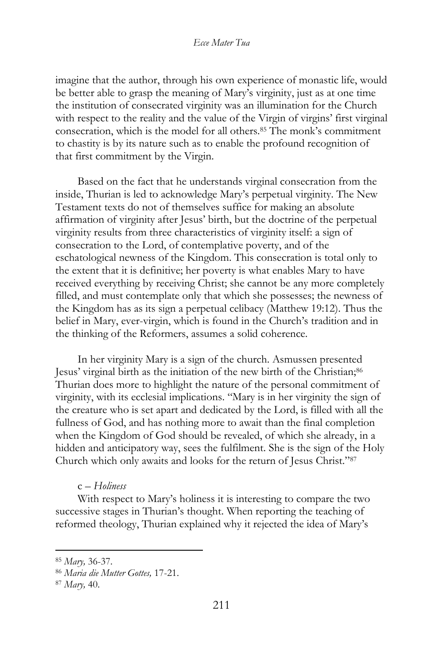imagine that the author, through his own experience of monastic life, would be better able to grasp the meaning of Mary's virginity, just as at one time the institution of consecrated virginity was an illumination for the Church with respect to the reality and the value of the Virgin of virgins' first virginal consecration, which is the model for all others.<sup>85</sup> The monk's commitment to chastity is by its nature such as to enable the profound recognition of that first commitment by the Virgin.

Based on the fact that he understands virginal consecration from the inside, Thurian is led to acknowledge Mary's perpetual virginity. The New Testament texts do not of themselves suffice for making an absolute affirmation of virginity after Jesus' birth, but the doctrine of the perpetual virginity results from three characteristics of virginity itself: a sign of consecration to the Lord, of contemplative poverty, and of the eschatological newness of the Kingdom. This consecration is total only to the extent that it is definitive; her poverty is what enables Mary to have received everything by receiving Christ; she cannot be any more completely filled, and must contemplate only that which she possesses; the newness of the Kingdom has as its sign a perpetual celibacy (Matthew 19:12). Thus the belief in Mary, ever-virgin, which is found in the Church's tradition and in the thinking of the Reformers, assumes a solid coherence.

In her virginity Mary is a sign of the church. Asmussen presented Jesus' virginal birth as the initiation of the new birth of the Christian;<sup>86</sup> Thurian does more to highlight the nature of the personal commitment of virginity, with its ecclesial implications. "Mary is in her virginity the sign of the creature who is set apart and dedicated by the Lord, is filled with all the fullness of God, and has nothing more to await than the final completion when the Kingdom of God should be revealed, of which she already, in a hidden and anticipatory way, sees the fulfilment. She is the sign of the Holy Church which only awaits and looks for the return of Jesus Christ."<sup>87</sup>

c – *Holiness*

With respect to Mary's holiness it is interesting to compare the two successive stages in Thurian's thought. When reporting the teaching of reformed theology, Thurian explained why it rejected the idea of Mary's

<sup>85</sup> *Mary,* 36-37.

<sup>86</sup> *Maria die Mutter Gottes,* 17-21.

<sup>87</sup> *Mary,* 40.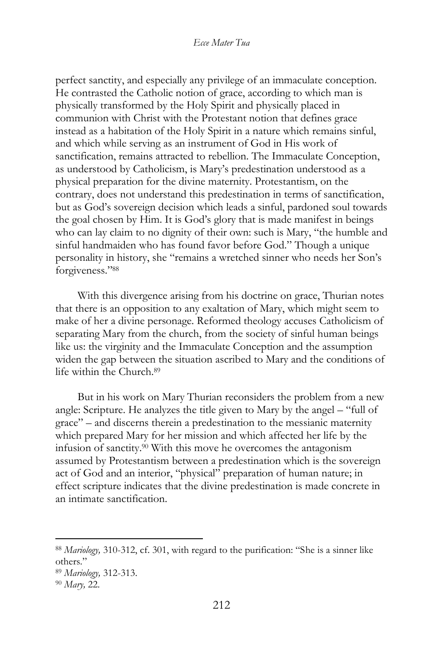perfect sanctity, and especially any privilege of an immaculate conception. He contrasted the Catholic notion of grace, according to which man is physically transformed by the Holy Spirit and physically placed in communion with Christ with the Protestant notion that defines grace instead as a habitation of the Holy Spirit in a nature which remains sinful, and which while serving as an instrument of God in His work of sanctification, remains attracted to rebellion. The Immaculate Conception, as understood by Catholicism, is Mary's predestination understood as a physical preparation for the divine maternity. Protestantism, on the contrary, does not understand this predestination in terms of sanctification, but as God's sovereign decision which leads a sinful, pardoned soul towards the goal chosen by Him. It is God's glory that is made manifest in beings who can lay claim to no dignity of their own: such is Mary, "the humble and sinful handmaiden who has found favor before God." Though a unique personality in history, she "remains a wretched sinner who needs her Son's forgiveness."<sup>88</sup>

With this divergence arising from his doctrine on grace, Thurian notes that there is an opposition to any exaltation of Mary, which might seem to make of her a divine personage. Reformed theology accuses Catholicism of separating Mary from the church, from the society of sinful human beings like us: the virginity and the Immaculate Conception and the assumption widen the gap between the situation ascribed to Mary and the conditions of life within the Church.<sup>89</sup>

But in his work on Mary Thurian reconsiders the problem from a new angle: Scripture. He analyzes the title given to Mary by the angel – "full of grace" – and discerns therein a predestination to the messianic maternity which prepared Mary for her mission and which affected her life by the infusion of sanctity.<sup>90</sup> With this move he overcomes the antagonism assumed by Protestantism between a predestination which is the sovereign act of God and an interior, "physical" preparation of human nature; in effect scripture indicates that the divine predestination is made concrete in an intimate sanctification.

<sup>88</sup> *Mariology,* 310-312, cf. 301, with regard to the purification: "She is a sinner like others."

<sup>89</sup> *Mariology,* 312-313.

<sup>90</sup> *Mary,* 22.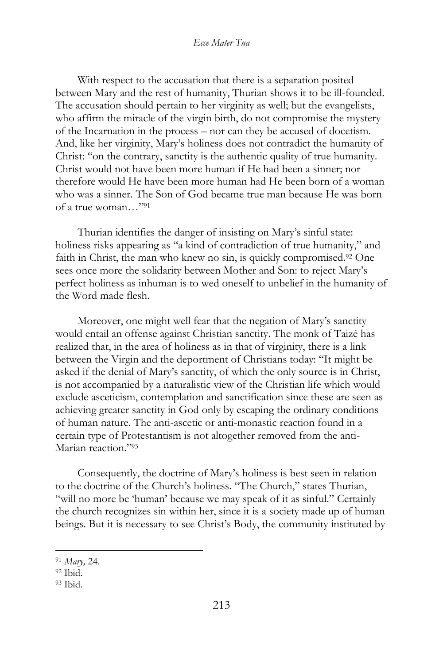With respect to the accusation that there is a separation posited between Mary and the rest of humanity, Thurian shows it to be ill-founded. The accusation should pertain to her virginity as well; but the evangelists, who affirm the miracle of the virgin birth, do not compromise the mystery of the Incarnation in the process – nor can they be accused of docetism. And, like her virginity, Mary's holiness does not contradict the humanity of Christ: "on the contrary, sanctity is the authentic quality of true humanity. Christ would not have been more human if He had been a sinner; nor therefore would He have been more human had He been born of a woman who was a sinner. The Son of God became true man because He was born of a true woman…"<sup>91</sup>

Thurian identifies the danger of insisting on Mary's sinful state: holiness risks appearing as "a kind of contradiction of true humanity," and faith in Christ, the man who knew no sin, is quickly compromised.<sup>92</sup> One sees once more the solidarity between Mother and Son: to reject Mary's perfect holiness as inhuman is to wed oneself to unbelief in the humanity of the Word made flesh.

Moreover, one might well fear that the negation of Mary's sanctity would entail an offense against Christian sanctity. The monk of Taizé has realized that, in the area of holiness as in that of virginity, there is a link between the Virgin and the deportment of Christians today: "It might be asked if the denial of Mary's sanctity, of which the only source is in Christ, is not accompanied by a naturalistic view of the Christian life which would exclude asceticism, contemplation and sanctification since these are seen as achieving greater sanctity in God only by escaping the ordinary conditions of human nature. The anti-ascetic or anti-monastic reaction found in a certain type of Protestantism is not altogether removed from the anti-Marian reaction."<sup>93</sup>

Consequently, the doctrine of Mary's holiness is best seen in relation to the doctrine of the Church's holiness. "The Church," states Thurian, "will no more be 'human' because we may speak of it as sinful." Certainly the church recognizes sin within her, since it is a society made up of human beings. But it is necessary to see Christ's Body, the community instituted by

<sup>91</sup> *Mary,* 24.

<sup>92</sup> Ibid.

<sup>93</sup> Ibid.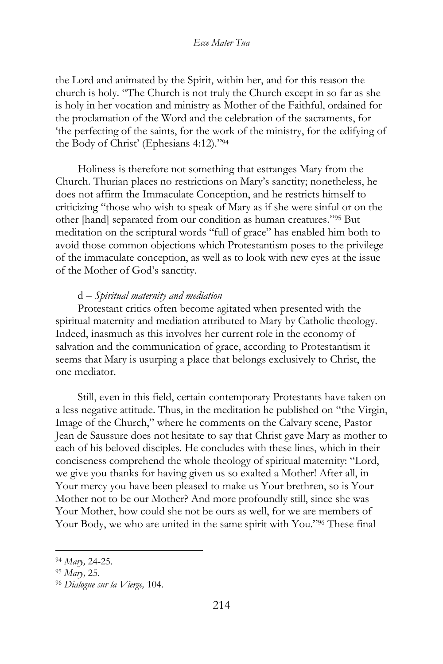the Lord and animated by the Spirit, within her, and for this reason the church is holy. "The Church is not truly the Church except in so far as she is holy in her vocation and ministry as Mother of the Faithful, ordained for the proclamation of the Word and the celebration of the sacraments, for 'the perfecting of the saints, for the work of the ministry, for the edifying of the Body of Christ' (Ephesians 4:12)."<sup>94</sup>

Holiness is therefore not something that estranges Mary from the Church. Thurian places no restrictions on Mary's sanctity; nonetheless, he does not affirm the Immaculate Conception, and he restricts himself to criticizing "those who wish to speak of Mary as if she were sinful or on the other [hand] separated from our condition as human creatures."<sup>95</sup> But meditation on the scriptural words "full of grace" has enabled him both to avoid those common objections which Protestantism poses to the privilege of the immaculate conception, as well as to look with new eyes at the issue of the Mother of God's sanctity.

#### d – *Spiritual maternity and mediation*

Protestant critics often become agitated when presented with the spiritual maternity and mediation attributed to Mary by Catholic theology. Indeed, inasmuch as this involves her current role in the economy of salvation and the communication of grace, according to Protestantism it seems that Mary is usurping a place that belongs exclusively to Christ, the one mediator.

Still, even in this field, certain contemporary Protestants have taken on a less negative attitude. Thus, in the meditation he published on "the Virgin, Image of the Church," where he comments on the Calvary scene, Pastor Jean de Saussure does not hesitate to say that Christ gave Mary as mother to each of his beloved disciples. He concludes with these lines, which in their conciseness comprehend the whole theology of spiritual maternity: "Lord, we give you thanks for having given us so exalted a Mother! After all, in Your mercy you have been pleased to make us Your brethren, so is Your Mother not to be our Mother? And more profoundly still, since she was Your Mother, how could she not be ours as well, for we are members of Your Body, we who are united in the same spirit with You."<sup>96</sup> These final

<sup>94</sup> *Mary,* 24-25.

<sup>95</sup> *Mary,* 25.

<sup>96</sup> *Dialogue sur la Vierge,* 104.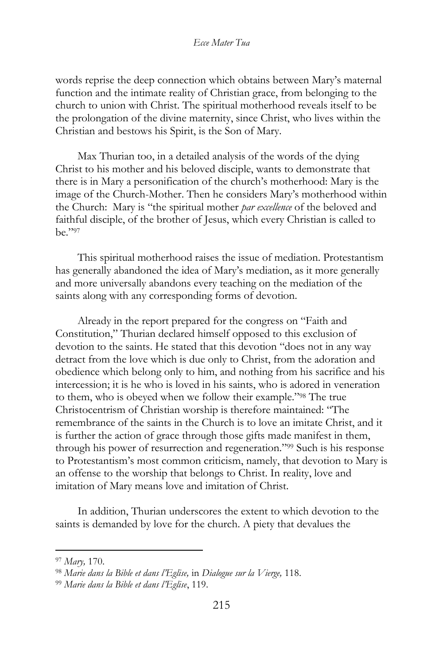words reprise the deep connection which obtains between Mary's maternal function and the intimate reality of Christian grace, from belonging to the church to union with Christ. The spiritual motherhood reveals itself to be the prolongation of the divine maternity, since Christ, who lives within the Christian and bestows his Spirit, is the Son of Mary.

Max Thurian too, in a detailed analysis of the words of the dying Christ to his mother and his beloved disciple, wants to demonstrate that there is in Mary a personification of the church's motherhood: Mary is the image of the Church-Mother. Then he considers Mary's motherhood within the Church: Mary is "the spiritual mother *par excellence* of the beloved and faithful disciple, of the brother of Jesus, which every Christian is called to be."<sup>97</sup>

This spiritual motherhood raises the issue of mediation. Protestantism has generally abandoned the idea of Mary's mediation, as it more generally and more universally abandons every teaching on the mediation of the saints along with any corresponding forms of devotion.

Already in the report prepared for the congress on "Faith and Constitution," Thurian declared himself opposed to this exclusion of devotion to the saints. He stated that this devotion "does not in any way detract from the love which is due only to Christ, from the adoration and obedience which belong only to him, and nothing from his sacrifice and his intercession; it is he who is loved in his saints, who is adored in veneration to them, who is obeyed when we follow their example."<sup>98</sup> The true Christocentrism of Christian worship is therefore maintained: "The remembrance of the saints in the Church is to love an imitate Christ, and it is further the action of grace through those gifts made manifest in them, through his power of resurrection and regeneration."<sup>99</sup> Such is his response to Protestantism's most common criticism, namely, that devotion to Mary is an offense to the worship that belongs to Christ. In reality, love and imitation of Mary means love and imitation of Christ.

In addition, Thurian underscores the extent to which devotion to the saints is demanded by love for the church. A piety that devalues the

<sup>97</sup> *Mary,* 170.

<sup>98</sup> *Marie dans la Bible et dans l'Eglise,* in *Dialogue sur la Vierge,* 118.

<sup>99</sup> *Marie dans la Bible et dans l'Eglise*, 119.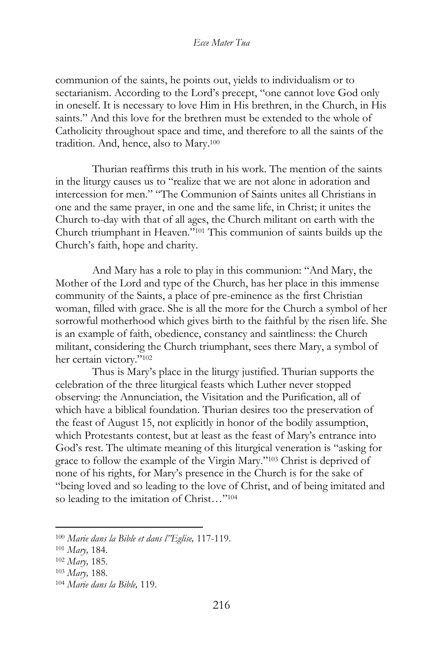communion of the saints, he points out, yields to individualism or to sectarianism. According to the Lord's precept, "one cannot love God only in oneself. It is necessary to love Him in His brethren, in the Church, in His saints." And this love for the brethren must be extended to the whole of Catholicity throughout space and time, and therefore to all the saints of the tradition. And, hence, also to Mary.<sup>100</sup>

Thurian reaffirms this truth in his work. The mention of the saints in the liturgy causes us to "realize that we are not alone in adoration and intercession for men." "The Communion of Saints unites all Christians in one and the same prayer, in one and the same life, in Christ; it unites the Church to-day with that of all ages, the Church militant on earth with the Church triumphant in Heaven."<sup>101</sup> This communion of saints builds up the Church's faith, hope and charity.

And Mary has a role to play in this communion: "And Mary, the Mother of the Lord and type of the Church, has her place in this immense community of the Saints, a place of pre-eminence as the first Christian woman, filled with grace. She is all the more for the Church a symbol of her sorrowful motherhood which gives birth to the faithful by the risen life. She is an example of faith, obedience, constancy and saintliness: the Church militant, considering the Church triumphant, sees there Mary, a symbol of her certain victory."<sup>102</sup>

Thus is Mary's place in the liturgy justified. Thurian supports the celebration of the three liturgical feasts which Luther never stopped observing: the Annunciation, the Visitation and the Purification, all of which have a biblical foundation. Thurian desires too the preservation of the feast of August 15, not explicitly in honor of the bodily assumption, which Protestants contest, but at least as the feast of Mary's entrance into God's rest. The ultimate meaning of this liturgical veneration is "asking for grace to follow the example of the Virgin Mary."<sup>103</sup> Christ is deprived of none of his rights, for Mary's presence in the Church is for the sake of "being loved and so leading to the love of Christ, and of being imitated and so leading to the imitation of Christ..."<sup>104</sup>

<sup>100</sup> *Marie dans la Bible et dans l"Eglise,* 117-119.

<sup>101</sup> *Mary,* 184.

<sup>102</sup> *Mary,* 185.

<sup>103</sup> *Mary,* 188.

<sup>104</sup> *Marie dans la Bible,* 119.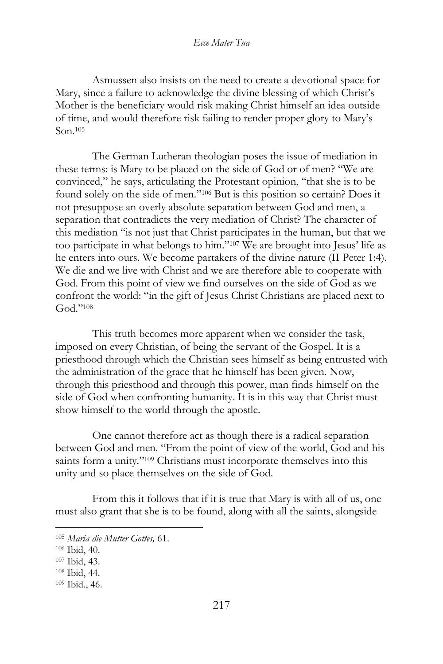Asmussen also insists on the need to create a devotional space for Mary, since a failure to acknowledge the divine blessing of which Christ's Mother is the beneficiary would risk making Christ himself an idea outside of time, and would therefore risk failing to render proper glory to Mary's Son.<sup>105</sup>

The German Lutheran theologian poses the issue of mediation in these terms: is Mary to be placed on the side of God or of men? "We are convinced," he says, articulating the Protestant opinion, "that she is to be found solely on the side of men."<sup>106</sup> But is this position so certain? Does it not presuppose an overly absolute separation between God and men, a separation that contradicts the very mediation of Christ? The character of this mediation "is not just that Christ participates in the human, but that we too participate in what belongs to him."<sup>107</sup> We are brought into Jesus' life as he enters into ours. We become partakers of the divine nature (II Peter 1:4). We die and we live with Christ and we are therefore able to cooperate with God. From this point of view we find ourselves on the side of God as we confront the world: "in the gift of Jesus Christ Christians are placed next to God."<sup>108</sup>

This truth becomes more apparent when we consider the task, imposed on every Christian, of being the servant of the Gospel. It is a priesthood through which the Christian sees himself as being entrusted with the administration of the grace that he himself has been given. Now, through this priesthood and through this power, man finds himself on the side of God when confronting humanity. It is in this way that Christ must show himself to the world through the apostle.

One cannot therefore act as though there is a radical separation between God and men. "From the point of view of the world, God and his saints form a unity."<sup>109</sup> Christians must incorporate themselves into this unity and so place themselves on the side of God.

From this it follows that if it is true that Mary is with all of us, one must also grant that she is to be found, along with all the saints, alongside

<sup>105</sup> *Maria die Mutter Gottes,* 61.

<sup>106</sup> Ibid, 40.

<sup>107</sup> Ibid, 43.

<sup>108</sup> Ibid, 44.

<sup>109</sup> Ibid., 46.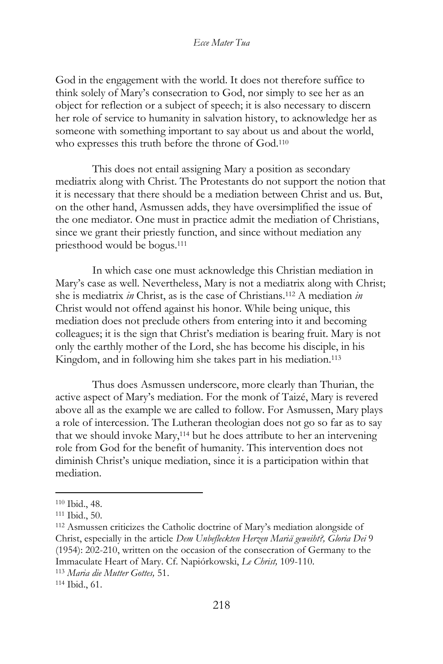God in the engagement with the world. It does not therefore suffice to think solely of Mary's consecration to God, nor simply to see her as an object for reflection or a subject of speech; it is also necessary to discern her role of service to humanity in salvation history, to acknowledge her as someone with something important to say about us and about the world, who expresses this truth before the throne of God.<sup>110</sup>

This does not entail assigning Mary a position as secondary mediatrix along with Christ. The Protestants do not support the notion that it is necessary that there should be a mediation between Christ and us. But, on the other hand, Asmussen adds, they have oversimplified the issue of the one mediator. One must in practice admit the mediation of Christians, since we grant their priestly function, and since without mediation any priesthood would be bogus.<sup>111</sup>

In which case one must acknowledge this Christian mediation in Mary's case as well. Nevertheless, Mary is not a mediatrix along with Christ; she is mediatrix *in* Christ, as is the case of Christians.<sup>112</sup> A mediation *in*  Christ would not offend against his honor. While being unique, this mediation does not preclude others from entering into it and becoming colleagues; it is the sign that Christ's mediation is bearing fruit. Mary is not only the earthly mother of the Lord, she has become his disciple, in his Kingdom, and in following him she takes part in his mediation.<sup>113</sup>

Thus does Asmussen underscore, more clearly than Thurian, the active aspect of Mary's mediation. For the monk of Taizé, Mary is revered above all as the example we are called to follow. For Asmussen, Mary plays a role of intercession. The Lutheran theologian does not go so far as to say that we should invoke Mary,<sup>114</sup> but he does attribute to her an intervening role from God for the benefit of humanity. This intervention does not diminish Christ's unique mediation, since it is a participation within that mediation.

<sup>110</sup> Ibid., 48.

<sup>111</sup> Ibid., 50.

<sup>112</sup> Asmussen criticizes the Catholic doctrine of Mary's mediation alongside of Christ, especially in the article *Dem Unbefleckten Herzen Mariä geweiht?, Gloria Dei* 9 (1954): 202-210, written on the occasion of the consecration of Germany to the Immaculate Heart of Mary. Cf. Napiórkowski, *Le Christ,* 109-110.

<sup>113</sup> *Maria die Mutter Gottes,* 51.

<sup>114</sup> Ibid., 61.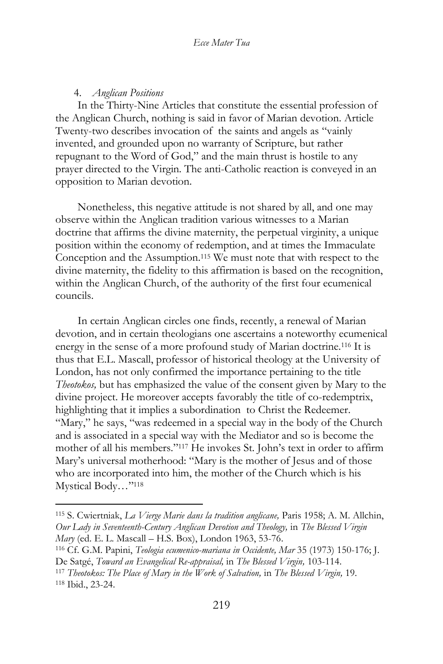### 4. *Anglican Positions*

In the Thirty-Nine Articles that constitute the essential profession of the Anglican Church, nothing is said in favor of Marian devotion. Article Twenty-two describes invocation of the saints and angels as "vainly invented, and grounded upon no warranty of Scripture, but rather repugnant to the Word of God," and the main thrust is hostile to any prayer directed to the Virgin. The anti-Catholic reaction is conveyed in an opposition to Marian devotion.

Nonetheless, this negative attitude is not shared by all, and one may observe within the Anglican tradition various witnesses to a Marian doctrine that affirms the divine maternity, the perpetual virginity, a unique position within the economy of redemption, and at times the Immaculate Conception and the Assumption.<sup>115</sup> We must note that with respect to the divine maternity, the fidelity to this affirmation is based on the recognition, within the Anglican Church, of the authority of the first four ecumenical councils.

In certain Anglican circles one finds, recently, a renewal of Marian devotion, and in certain theologians one ascertains a noteworthy ecumenical energy in the sense of a more profound study of Marian doctrine.<sup>116</sup> It is thus that E.L. Mascall, professor of historical theology at the University of London, has not only confirmed the importance pertaining to the title *Theotokos,* but has emphasized the value of the consent given by Mary to the divine project. He moreover accepts favorably the title of co-redemptrix, highlighting that it implies a subordination to Christ the Redeemer. "Mary," he says, "was redeemed in a special way in the body of the Church and is associated in a special way with the Mediator and so is become the mother of all his members."<sup>117</sup> He invokes St. John's text in order to affirm Mary's universal motherhood: "Mary is the mother of Jesus and of those who are incorporated into him, the mother of the Church which is his Mystical Body…"<sup>118</sup>

<sup>115</sup> S. Cwiertniak, *La Vierge Marie dans la tradition anglicane,* Paris 1958; A. M. Allchin, *Our Lady in Seventeenth-Century Anglican Devotion and Theology,* in *The Blessed Virgin Mary* (ed. E. L. Mascall – H.S. Box), London 1963, 53-76.

<sup>116</sup> Cf. G.M. Papini, *Teologia ecumenico-mariana in Occidente, Mar* 35 (1973) 150-176; J. De Satgé, *Toward an Evangelical Re-appraisal,* in *The Blessed Virgin,* 103-114.

<sup>117</sup> *Theotokos: The Place of Mary in the Work of Salvation,* in *The Blessed Virgin,* 19. <sup>118</sup> Ibid., 23-24.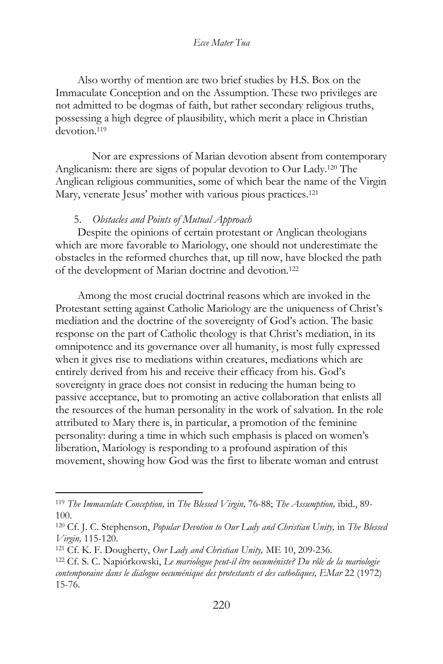Also worthy of mention are two brief studies by H.S. Box on the Immaculate Conception and on the Assumption. These two privileges are not admitted to be dogmas of faith, but rather secondary religious truths, possessing a high degree of plausibility, which merit a place in Christian devotion.<sup>119</sup>

Nor are expressions of Marian devotion absent from contemporary Anglicanism: there are signs of popular devotion to Our Lady.<sup>120</sup> The Anglican religious communities, some of which bear the name of the Virgin Mary, venerate Jesus' mother with various pious practices.<sup>121</sup>

# 5. *Obstacles and Points of Mutual Approach*

Despite the opinions of certain protestant or Anglican theologians which are more favorable to Mariology, one should not underestimate the obstacles in the reformed churches that, up till now, have blocked the path of the development of Marian doctrine and devotion.<sup>122</sup>

Among the most crucial doctrinal reasons which are invoked in the Protestant setting against Catholic Mariology are the uniqueness of Christ's mediation and the doctrine of the sovereignty of God's action. The basic response on the part of Catholic theology is that Christ's mediation, in its omnipotence and its governance over all humanity, is most fully expressed when it gives rise to mediations within creatures, mediations which are entirely derived from his and receive their efficacy from his. God's sovereignty in grace does not consist in reducing the human being to passive acceptance, but to promoting an active collaboration that enlists all the resources of the human personality in the work of salvation. In the role attributed to Mary there is, in particular, a promotion of the feminine personality: during a time in which such emphasis is placed on women's liberation, Mariology is responding to a profound aspiration of this movement, showing how God was the first to liberate woman and entrust

<sup>119</sup> *The Immaculate Conception,* in *The Blessed Virgin,* 76-88; *The Assumption,* ibid., 89- 100.

<sup>120</sup> Cf. J. C. Stephenson, *Popular Devotion to Our Lady and Christian Unity,* in *The Blessed Virgin,* 115-120.

<sup>121</sup> Cf. K. F. Dougherty, *Our Lady and Christian Unity,* ME 10, 209-236.

<sup>122</sup> Cf. S. C. Napiórkowski, *Le mariologue peut-il être oecuméniste? Du rôle de la mariologie contemporaine dans le dialogue oecuménique des protestants et des catholiques, EMar* 22 (1972) 15-76.